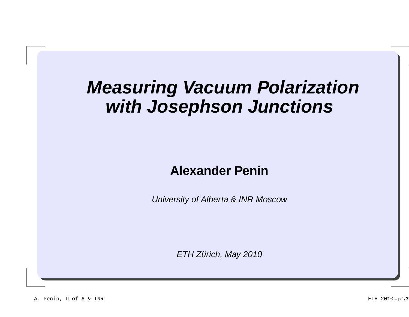# **Measuring Vacuum Polarizationwith Josephson Junctions**

#### **Alexander Penin**

University of Alberta & INR Moscow

ETH Zürich, May 2010

A. Penin, U of A & INR **ETH 2010** – p.1/?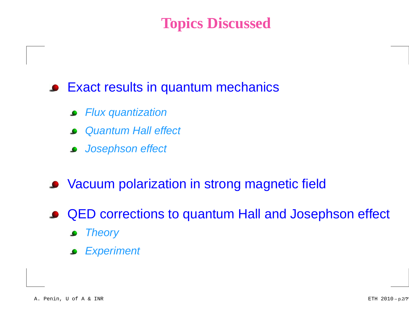# **Topics Discussed**

### Exact results in quantum mechanics

- Flux quantization $\bullet$
- Quantum Hall effect
- Josephson effect
- **Vacuum polarization in strong magnetic field**
- QED corrections to quantum Hall and Josephson effect
	- **Theory**  $\bullet$
	- **Experiment**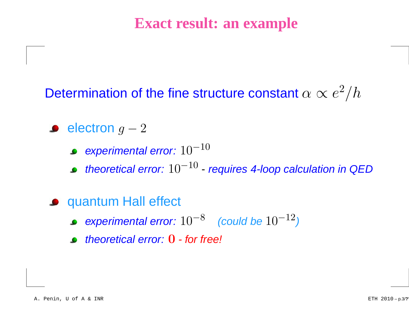### **Exact result: an example**

# Determination of the fine structure constant  $\alpha \propto e^2/h$

- electron  $g-2$ 
	- experimental error:  $10^{{\rm{-}}10}$
	- theoretical error:  $10^{{\rm -}10}$  requires 4-loop calculation in QED
- **•** quantum Hall effect
	- experimental error:  $10^{-8}\quad$  (could be  $10^{-12}$  $\mathcal{L}$
	- theoretical error: 0 for free!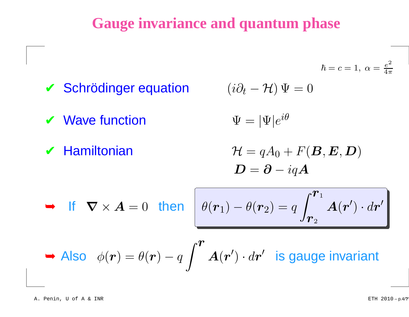### **Gauge invariance and quantum phase**

$$
\hbar = c = 1, \ \alpha = \frac{e^2}{4\pi}
$$

 $\overline{I}$ 

✔ Schrödinger equation

$$
(i\partial_t - \mathcal{H})\,\Psi = 0
$$

 $\boldsymbol{V}$  Wave function  $\Psi = |\Psi|e^{i\theta}$ 

$$
\Psi = |\Psi|e^{i\theta}
$$

 $\boldsymbol{\checkmark}$  Hamiltonian

$$
\mathcal{H} = qA_0 + F(\boldsymbol{B}, \boldsymbol{E}, \boldsymbol{D})
$$

$$
\boldsymbol{D} = \boldsymbol{\partial} - iq\boldsymbol{A}
$$

$$
\blacktriangleright \quad \text{If} \quad \nabla \times \bm{A} = 0 \quad \text{then} \quad \left[ \theta(\bm{r}_1) - \theta(\bm{r}_2) = q \int_{\bm{r}_2}^{\bm{r}_1} \bm{A}(\bm{r}') \cdot d\bm{r}' \right]
$$

► Also 
$$
\phi(\mathbf{r}) = \theta(\mathbf{r}) - q \int^{\mathbf{r}} A(\mathbf{r}') \cdot d\mathbf{r}'
$$
 is gauge invariant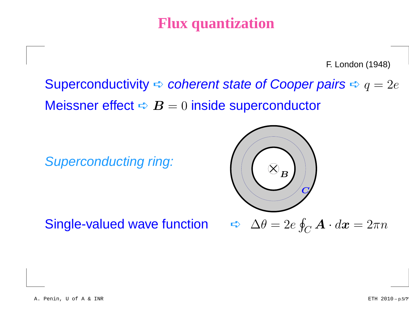# **Flux quantization**

F. London (1948)

Superconductivity  $\blacktriangle$  coherent state of Cooper pairs  $\blacktriangle q=2e$ Meissner effect  $\blacktriangle\bm{\mathit{B}}=0$  inside superconductor

Superconducting ring:



Single-valued wave function

 $\bigcap$   $\bigoplus$   $\Delta \theta = 2e \oint_C \mathbf{A} \cdot d\mathbf{x} = 2\pi n$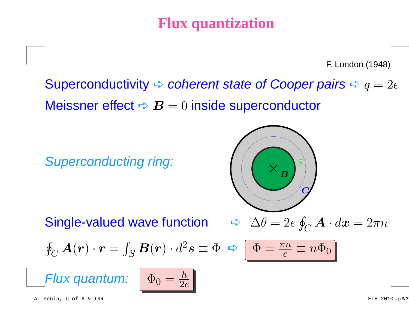# **Flux quantization**

F. London (1948)

Superconductivity  $\blacktriangle$  coherent state of Cooper pairs  $\blacktriangle q=2e$ Meissner effect  $\blacktriangle\bm{\mathit{B}}=0$  inside superconductor

Superconducting ring:

Single-valued wave function



$$
\oint_C \mathbf{A}(\mathbf{r}) \cdot \mathbf{r} = \int_S \mathbf{B}(\mathbf{r}) \cdot d^2 \mathbf{s} \equiv \Phi \ \blacktriangleleft \ \boxed{\Phi = \frac{\pi n}{e} \equiv n \Phi_0}
$$

Flux quantum:

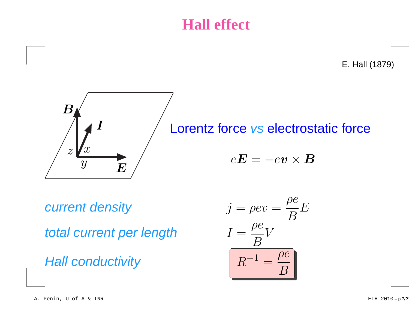# **Hall effect**

E. Hall (1879)



# Lorentz force vs electrostatic force  $e\bm{E}=-e\bm{v}\times\bm{B}$

current density

total current per length

**Hall conductivity** 

$$
j = \rho e v = \frac{\rho e}{B} E
$$
  
ber length 
$$
I = \frac{\rho e}{B} V
$$
  
ity 
$$
R^{-1} = \frac{\rho e}{B}
$$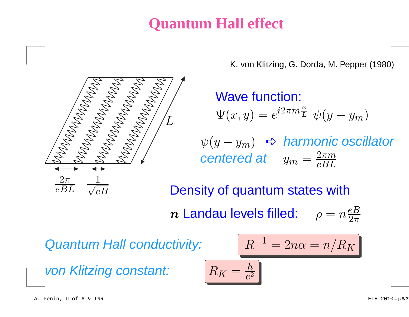# **Quantum Hall effect**

K. von Klitzing, G. Dorda, M. Pepper (1980)



Wave function:  $\Psi(x,y)=e$  $i2\pi m\frac{x}{L}$  $\tilde{\bar{\mu}} \;\; \psi(y-y_m)$  $\psi(y-y_m)$   $\Leftrightarrow$  harmonic oscillator<br>existence of  $2\pi m$ 

 $\mu = 2n\alpha =$ 

 $n/R$ 

 $K\,$ 

$$
centered at \t y_m = \frac{2\pi m}{eBL}
$$

Density of quantum states with $\bm{n}$  Landau levels filled:  $\rho=n\frac{eB}{2\pi}$  $2\pi$ 

 $R^{-1}$ 

Quantum Hall conductivity:

von Klitzing constant:

$$
\boxed{R_K = \tfrac{h}{e^2}}
$$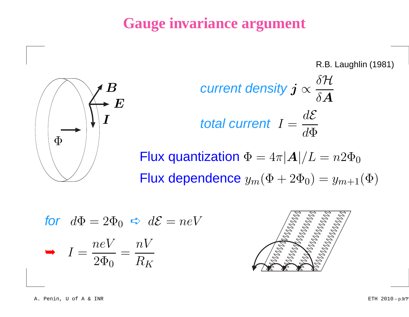# **Gauge invariance argument**



R.B. Laughlin (1981)  
\n
$$
\text{Current density } j \propto \frac{\delta \mathcal{H}}{\delta A}
$$
\n
$$
\text{total current } I = \frac{d\mathcal{E}}{d\Phi}
$$
\n
$$
\text{Flux quantization } \Phi = 4\pi |A| / L = n2\Phi_0
$$

Flux dependence  $y_m(\Phi + 2 \Phi_0) = y_{m+1}(\Phi)$ 

for 
$$
d\Phi = 2\Phi_0 \Leftrightarrow d\mathcal{E} = neV
$$
  
\n
$$
I = \frac{neV}{2\Phi_0} = \frac{nV}{R_K}
$$

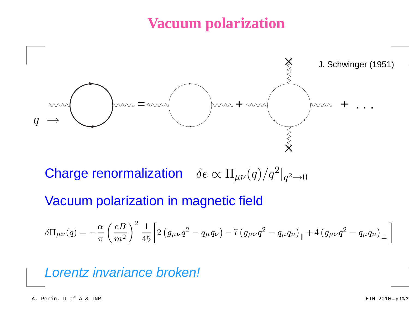# **Vacuum polarization**



Charge renormalization  $\delta e \propto \Pi_{\mu\nu}(q)/q^2$  $^2\big|_q$  $^{2}$  $\rightarrow$ O

Vacuum polarization in magnetic field

$$
\delta\Pi_{\mu\nu}(q)=-\frac{\alpha}{\pi}\left(\frac{eB}{m^2}\right)^2\frac{1}{45}\bigg[2\left(g_{\mu\nu}q^2-q_\mu q_\nu\right)-7\left(g_{\mu\nu}q^2-q_\mu q_\nu\right)_{\parallel}+4\left(g_{\mu\nu}q^2-q_\mu q_\nu\right)_{\perp}\bigg]
$$

Lorentz invariance broken!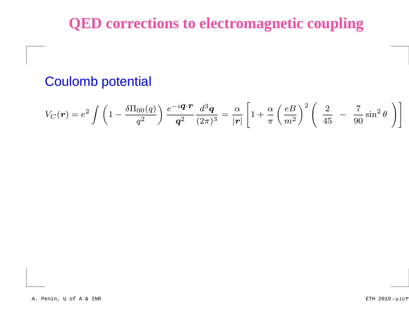# **QED corrections to electromagnetic coupling**

### Coulomb potential

$$
V_C(\boldsymbol{r}) = e^2 \int \left(1 - \frac{\delta \Pi_{00}(q)}{q^2}\right) \frac{e^{-i\boldsymbol{q} \cdot \boldsymbol{r}}}{q^2} \frac{d^3 \boldsymbol{q}}{(2\pi)^3} = \frac{\alpha}{|\boldsymbol{r}|} \left[1 + \frac{\alpha}{\pi} \left(\frac{eB}{m^2}\right)^2 \left(\frac{2}{45} - \frac{7}{90} \sin^2 \theta\right)\right]
$$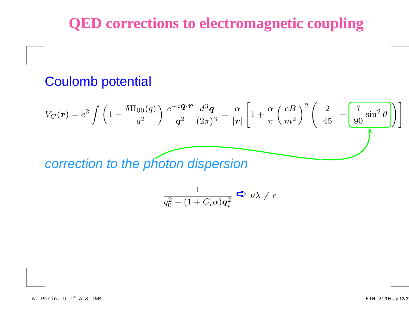# **QED corrections to electromagnetic coupling**

### Coulomb potential

$$
V_C(\mathbf{r}) = e^2 \int \left(1 - \frac{\delta \Pi_{00}(q)}{q^2}\right) \frac{e^{-i\mathbf{q} \cdot \mathbf{r}}}{\mathbf{q}^2} \frac{d^3 \mathbf{q}}{(2\pi)^3} = \frac{\alpha}{|\mathbf{r}|} \left[1 + \frac{\alpha}{\pi} \left(\frac{eB}{m^2}\right)^2 \left(\frac{2}{45} - \frac{7}{90} \sin^2 \theta\right)\right]
$$
  
correction to the photon dispersion

correction to the photon dispersion

$$
\frac{1}{q_0^2 - (1 + C_i \alpha) \mathbf{q}_i^2} \Leftrightarrow \nu \lambda \neq c
$$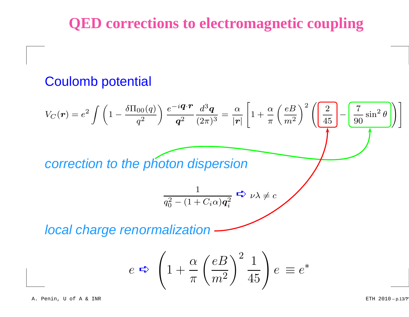# **QED corrections to electromagnetic coupling**

### Coulomb potential

$$
V_C(r) = e^2 \int \left(1 - \frac{\delta \Pi_{00}(q)}{q^2}\right) \frac{e^{-i\boldsymbol{q} \cdot \boldsymbol{r}}}{q^2} \frac{d^3 \boldsymbol{q}}{(2\pi)^3} = \frac{\alpha}{|\boldsymbol{r}|} \left[1 + \frac{\alpha}{\pi} \left(\frac{eB}{m^2}\right)^2 \left(\frac{2}{45} - \frac{7}{90} \sin^2 \theta\right)\right]
$$
  
correction to the photon dispersion  

$$
\frac{1}{q_0^2 - (1 + C_i \alpha) q_i^2} \Leftrightarrow \nu \lambda \neq c
$$
  
local charge renormalization

$$
e \Rightarrow \left(1 + \frac{\alpha}{\pi} \left(\frac{eB}{m^2}\right)^2 \frac{1}{45}\right) e \equiv e^*
$$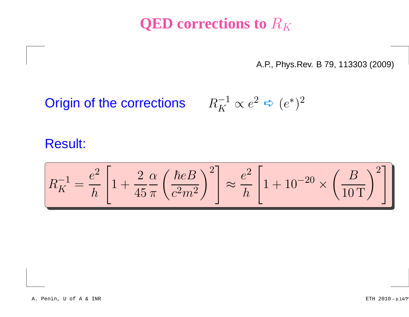# **QED** corrections to  $R_K$

A.P., Phys.Rev. B 79, 113303 (2009)

**Origin of the corrections** 
$$
R_K^{-1} \propto e^2 \Leftrightarrow (e^*)^2
$$

#### Result:

$$
R_K^{-1} = \frac{e^2}{h} \left[ 1 + \frac{2}{45} \frac{\alpha}{\pi} \left( \frac{\hbar e B}{c^2 m^2} \right)^2 \right] \approx \frac{e^2}{h} \left[ 1 + 10^{-20} \times \left( \frac{B}{10 \, \text{T}} \right)^2 \right]
$$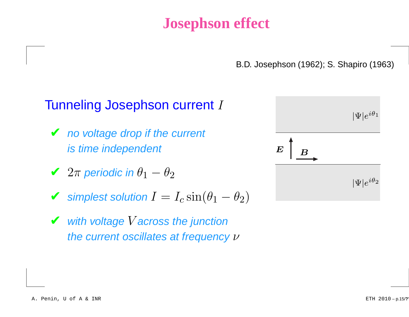# **Josephson effect**

B.D. Josephson (1962); S. Shapiro (1963)

#### Tunneling Josephson current I

- *V* no voltage drop if the current is time independent
- $\t**✓** 2π$  periodic in  $\theta_1 \theta_2$
- $\blacktriangleright$  simplest solution  $I = I_c \sin(\theta_1 \theta_2)$
- With voltage V across the junction the current oscillates at frequency  $\nu$

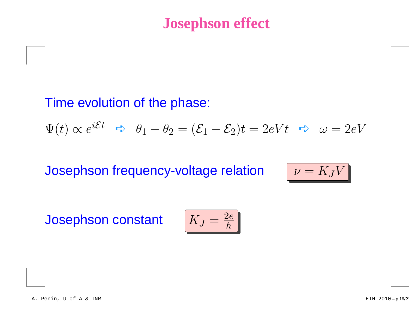# **Josephson effect**

### Time evolution of the phase:

 $\Psi(t)\propto$  $\alpha e^{i\mathcal{E}t}$   $\Leftrightarrow$   $\theta_1 - \theta_2 = (\mathcal{E}_1 - \mathcal{E}_2)t = 2eVt$   $\Leftrightarrow$   $\omega = 2eV$ 

Josephson frequency-voltage relation

$$
\mathsf{n} \qquad \boxed{\nu = K_J V}
$$

Josephson constant

$$
K_J = \frac{2e}{h}
$$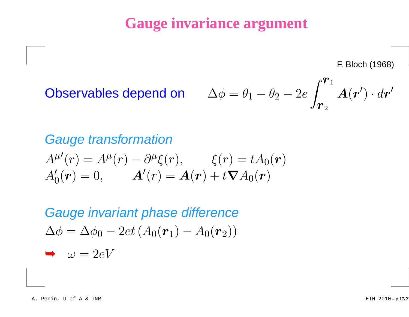# **Gauge invariance argument**

F. Bloch (1968)

 $\mathbf{r}$ 

**Observables depend on** 
$$
\Delta \phi = \theta_1 - \theta_2 - 2e \int_{\mathbf{r}_2}^{\mathbf{r}_1} \mathbf{A}(\mathbf{r}') \cdot d\mathbf{r}'
$$

#### Gauge transformation $A^{\mu \prime }(r)=A^{\mu }$   $^\mu(r)$  $\partial^\mu$  $A_{0}^{\prime}(\boldsymbol{r})=0,\qquad \boldsymbol{A}^{\prime}(r)=\boldsymbol{A}(\boldsymbol{r})+t\boldsymbol{\nabla}A_{0}(\boldsymbol{r})$  $\mu \xi(r)$ ,  $\xi(r) = tA$  $_{0}(\boldsymbol{r})$

Gauge invariant phase difference $\Delta \phi = \Delta \phi_0 - 2 e t \left(A_0(\bm{r}_1) \right)$  $A_{0}(\bm{r}_{2}))$  $\rightarrow \omega = 2eV$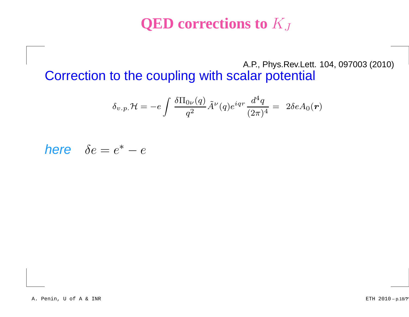# **QED corrections to** <sup>K</sup><sup>J</sup>

A.P., Phys.Rev.Lett. 104, 097003 (2010)Correction to the coupling with scalar potential

$$
\delta_{v.p.} \mathcal{H} = -e \int \frac{\delta \Pi_{0\nu}(q)}{q^2} \tilde{A}^\nu(q) e^{i q r} \frac{d^4 q}{(2\pi)^4} = \ 2 \delta e A_0(\bm{r})
$$

here  $\delta e = e^*$  –  $-e$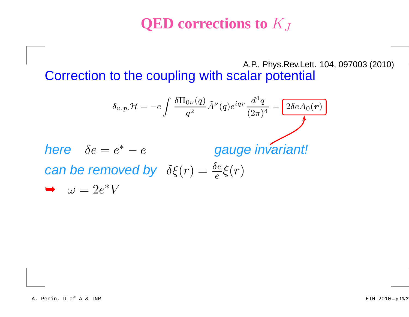# **QED corrections to** <sup>K</sup><sup>J</sup>

A.P., Phys.Rev.Lett. 104, 097003 (2010)Correction to the coupling with scalar potential

$$
\delta_{v.p.} \mathcal{H} = -e \int \frac{\delta \Pi_{0\nu}(q)}{q^2} \tilde{A}^{\nu}(q) e^{iqr} \frac{d^4 q}{(2\pi)^4} = \boxed{2\delta e A_0(r)}
$$
  
\nhere  $\delta e = e^* - e$   
\n
$$
\text{can be removed by } \delta \xi(r) = \frac{\delta e}{e} \xi(r)
$$
  
\n
$$
\Rightarrow \omega = 2e^* V
$$

➥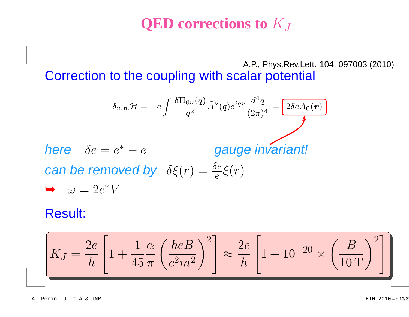# **QED corrections to** <sup>K</sup><sup>J</sup>

A.P., Phys.Rev.Lett. 104, 097003 (2010)Correction to the coupling with scalar potential

$$
\delta_{v.p.} \mathcal{H} = -e \int \frac{\delta \Pi_{0\nu}(q)}{q^2} \tilde{A}^{\nu}(q) e^{iqr} \frac{d^4 q}{(2\pi)^4} = \boxed{2\delta e A_0(r)}
$$
  
\nhere  $\delta e = e^* - e$   
\n
$$
\text{can be removed by } \delta \xi(r) = \frac{\delta e}{e} \xi(r)
$$
  
\n
$$
\Rightarrow \omega = 2e^* V
$$

#### Result:

➥

$$
K_J = \frac{2e}{h} \left[ 1 + \frac{1}{45} \frac{\alpha}{\pi} \left( \frac{\hbar e B}{c^2 m^2} \right)^2 \right] \approx \frac{2e}{h} \left[ 1 + 10^{-20} \times \left( \frac{B}{10 \, \text{T}} \right)^2 \right]
$$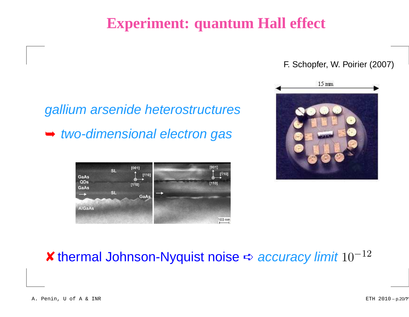# **Experiment: quantum Hall effect**

#### F. Schopfer, W. Poirier (2007)



# gallium arsenide heterostructures➥ two-dimensional electron gas



# *★* **thermal Johnson-Nyquist noise**  $\div$  accuracy limit  $10^{-12}$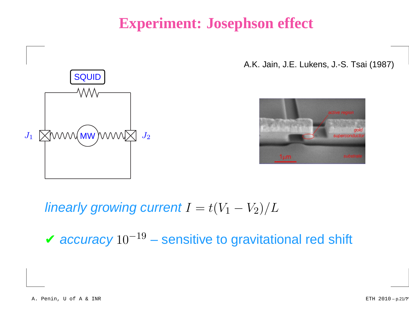# **Experiment: Josephson effect**



A.K. Jain, J.E. Lukens, J.-S. Tsai (1987)



linearly growing current  $I=t(V_1\;$  $V_2)/L$ 

 $\boldsymbol{\checkmark}$  accuracy  $10^{-19}$  − sensitive to gravitational red shift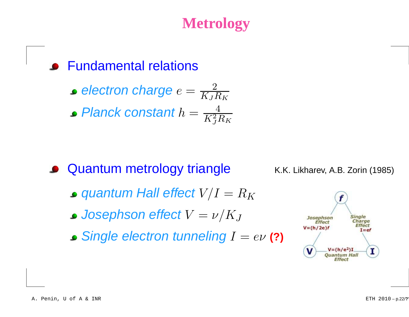# **Metrology**

Fundamental relations

• electron charge 
$$
e = \frac{2}{K_J R_K}
$$

• Planck constant 
$$
h = \frac{4}{K_J^2 R_K}
$$

**• Quantum metrology triangle** 

K.K. Likharev, A.B. Zorin (1985)

- quantum Hall effect  $V/I=R_K\;$
- ${\it Josephson effect}\,V=\nu/K_J$
- Single electron tunneling <sup>I</sup> <sup>=</sup> eν **(?)**

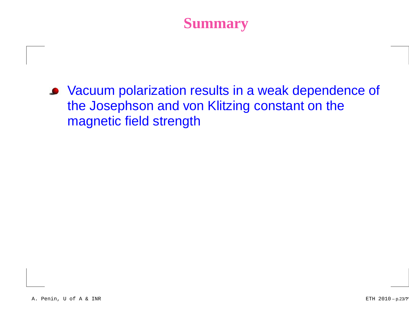Vacuum polarization results in <sup>a</sup> weak dependence of the Josephson and von Klitzing constant on themagnetic field strength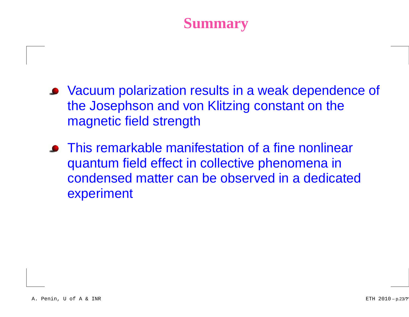- Vacuum polarization results in <sup>a</sup> weak dependence of the Josephson and von Klitzing constant on themagnetic field strength
- This remarkable manifestation of <sup>a</sup> fine nonlinearquantum field effect in collective phenomena in condensed matter can be observed in <sup>a</sup> dedicatedexperiment